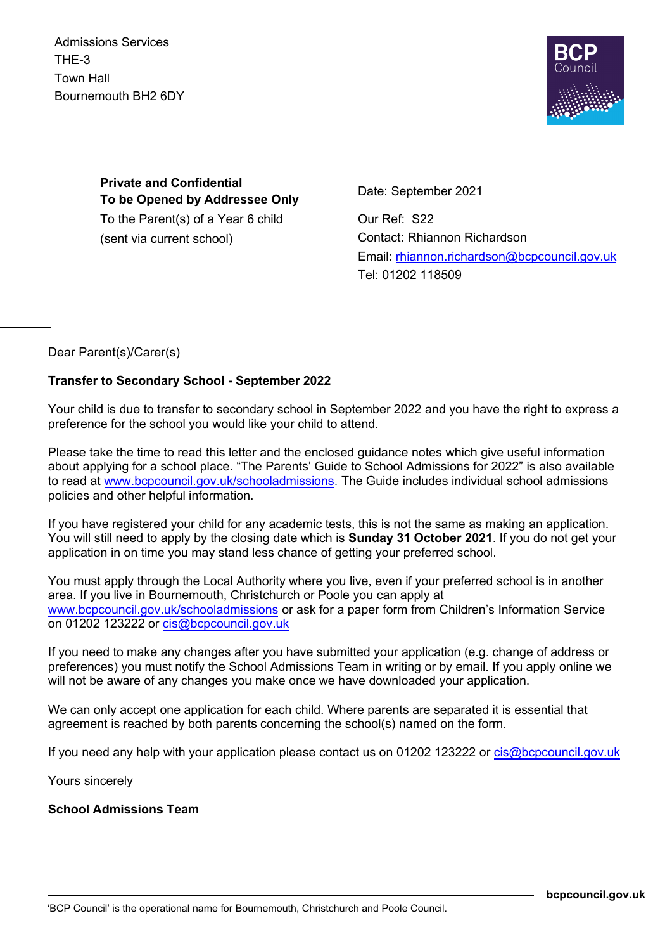Admissions Services THE-3 Town Hall Bournemouth BH2 6DY



**Private and Confidential To be Opened by Addressee Only** To the Parent(s) of a Year 6 child (sent via current school)

Date: September 2021

Our Ref: S22 Contact: Rhiannon Richardson Email: rhiannon.richardson@bcpcouncil.gov.uk Tel: 01202 118509

Dear Parent(s)/Carer(s)

## **Transfer to Secondary School - September 2022**

Your child is due to transfer to secondary school in September 2022 and you have the right to express a preference for the school you would like your child to attend.

Please take the time to read this letter and the enclosed guidance notes which give useful information about applying for a school place. "The Parents' Guide to School Admissions for 2022" is also available to read at www.bcpcouncil.gov.uk/schooladmissions. The Guide includes individual school admissions policies and other helpful information.

If you have registered your child for any academic tests, this is not the same as making an application. You will still need to apply by the closing date which is **Sunday 31 October 2021**. If you do not get your application in on time you may stand less chance of getting your preferred school.

You must apply through the Local Authority where you live, even if your preferred school is in another area. If you live in Bournemouth, Christchurch or Poole you can apply at www.bcpcouncil.gov.uk/schooladmissions or ask for a paper form from Children's Information Service on 01202 123222 or cis@bcpcouncil.gov.uk

If you need to make any changes after you have submitted your application (e.g. change of address or preferences) you must notify the School Admissions Team in writing or by email. If you apply online we will not be aware of any changes you make once we have downloaded your application.

We can only accept one application for each child. Where parents are separated it is essential that agreement is reached by both parents concerning the school(s) named on the form.

If you need any help with your application please contact us on 01202 123222 or cis@bcpcouncil.gov.uk

Yours sincerely

## **School Admissions Team**